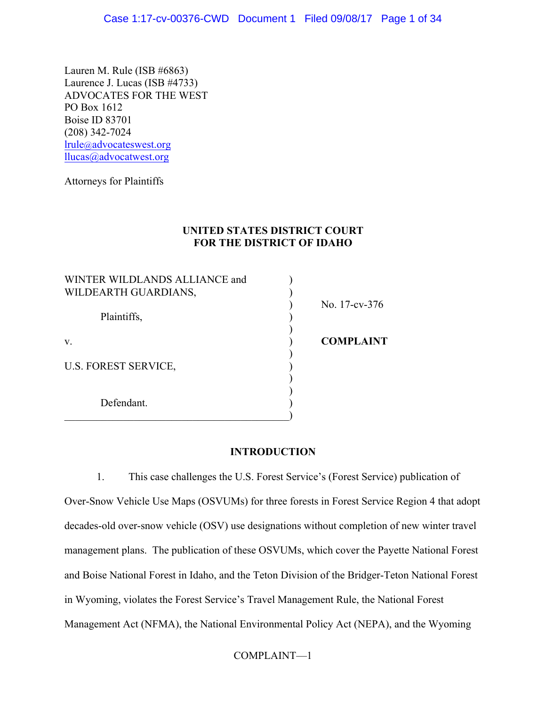Lauren M. Rule (ISB #6863) Laurence J. Lucas (ISB #4733) ADVOCATES FOR THE WEST PO Box 1612 Boise ID 83701 (208) 342-7024 lrule@advocateswest.org llucas@advocatwest.org

Attorneys for Plaintiffs

# **UNITED STATES DISTRICT COURT FOR THE DISTRICT OF IDAHO**

| WINTER WILDLANDS ALLIANCE and |                  |
|-------------------------------|------------------|
| WILDEARTH GUARDIANS,          |                  |
|                               | No. 17-cv-376    |
| Plaintiffs,                   |                  |
| V.                            | <b>COMPLAINT</b> |
| <b>U.S. FOREST SERVICE,</b>   |                  |
|                               |                  |
| Defendant.                    |                  |
|                               |                  |

# **INTRODUCTION**

1. This case challenges the U.S. Forest Service's (Forest Service) publication of Over-Snow Vehicle Use Maps (OSVUMs) for three forests in Forest Service Region 4 that adopt decades-old over-snow vehicle (OSV) use designations without completion of new winter travel management plans. The publication of these OSVUMs, which cover the Payette National Forest and Boise National Forest in Idaho, and the Teton Division of the Bridger-Teton National Forest in Wyoming, violates the Forest Service's Travel Management Rule, the National Forest Management Act (NFMA), the National Environmental Policy Act (NEPA), and the Wyoming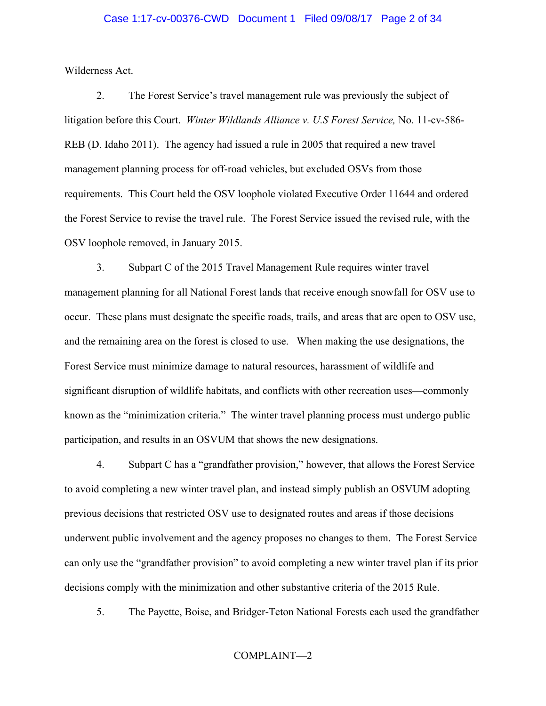#### Case 1:17-cv-00376-CWD Document 1 Filed 09/08/17 Page 2 of 34

Wilderness Act.

2. The Forest Service's travel management rule was previously the subject of litigation before this Court. *Winter Wildlands Alliance v. U.S Forest Service,* No. 11-cv-586- REB (D. Idaho 2011). The agency had issued a rule in 2005 that required a new travel management planning process for off-road vehicles, but excluded OSVs from those requirements. This Court held the OSV loophole violated Executive Order 11644 and ordered the Forest Service to revise the travel rule. The Forest Service issued the revised rule, with the OSV loophole removed, in January 2015.

3. Subpart C of the 2015 Travel Management Rule requires winter travel management planning for all National Forest lands that receive enough snowfall for OSV use to occur. These plans must designate the specific roads, trails, and areas that are open to OSV use, and the remaining area on the forest is closed to use. When making the use designations, the Forest Service must minimize damage to natural resources, harassment of wildlife and significant disruption of wildlife habitats, and conflicts with other recreation uses—commonly known as the "minimization criteria." The winter travel planning process must undergo public participation, and results in an OSVUM that shows the new designations.

4. Subpart C has a "grandfather provision," however, that allows the Forest Service to avoid completing a new winter travel plan, and instead simply publish an OSVUM adopting previous decisions that restricted OSV use to designated routes and areas if those decisions underwent public involvement and the agency proposes no changes to them. The Forest Service can only use the "grandfather provision" to avoid completing a new winter travel plan if its prior decisions comply with the minimization and other substantive criteria of the 2015 Rule.

5. The Payette, Boise, and Bridger-Teton National Forests each used the grandfather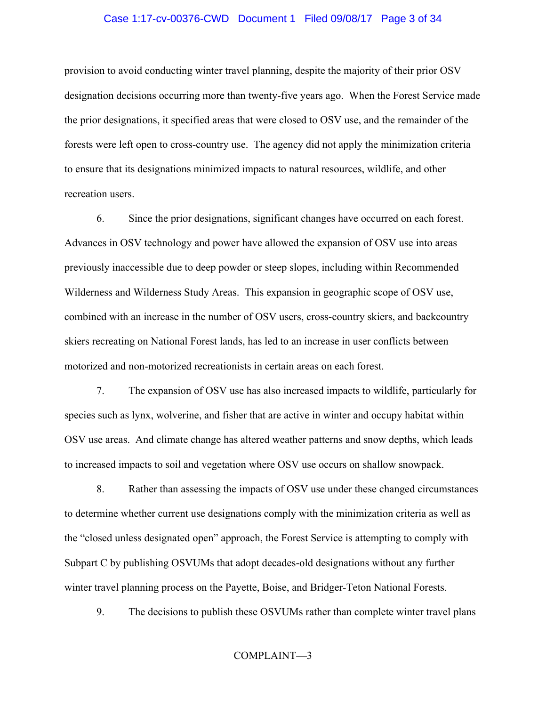### Case 1:17-cv-00376-CWD Document 1 Filed 09/08/17 Page 3 of 34

provision to avoid conducting winter travel planning, despite the majority of their prior OSV designation decisions occurring more than twenty-five years ago. When the Forest Service made the prior designations, it specified areas that were closed to OSV use, and the remainder of the forests were left open to cross-country use. The agency did not apply the minimization criteria to ensure that its designations minimized impacts to natural resources, wildlife, and other recreation users.

6. Since the prior designations, significant changes have occurred on each forest. Advances in OSV technology and power have allowed the expansion of OSV use into areas previously inaccessible due to deep powder or steep slopes, including within Recommended Wilderness and Wilderness Study Areas. This expansion in geographic scope of OSV use, combined with an increase in the number of OSV users, cross-country skiers, and backcountry skiers recreating on National Forest lands, has led to an increase in user conflicts between motorized and non-motorized recreationists in certain areas on each forest.

7. The expansion of OSV use has also increased impacts to wildlife, particularly for species such as lynx, wolverine, and fisher that are active in winter and occupy habitat within OSV use areas. And climate change has altered weather patterns and snow depths, which leads to increased impacts to soil and vegetation where OSV use occurs on shallow snowpack.

8. Rather than assessing the impacts of OSV use under these changed circumstances to determine whether current use designations comply with the minimization criteria as well as the "closed unless designated open" approach, the Forest Service is attempting to comply with Subpart C by publishing OSVUMs that adopt decades-old designations without any further winter travel planning process on the Payette, Boise, and Bridger-Teton National Forests.

9. The decisions to publish these OSVUMs rather than complete winter travel plans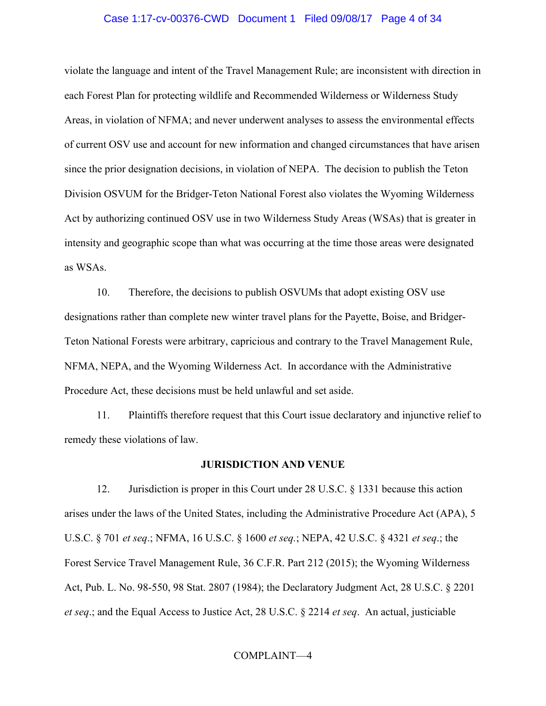### Case 1:17-cv-00376-CWD Document 1 Filed 09/08/17 Page 4 of 34

violate the language and intent of the Travel Management Rule; are inconsistent with direction in each Forest Plan for protecting wildlife and Recommended Wilderness or Wilderness Study Areas, in violation of NFMA; and never underwent analyses to assess the environmental effects of current OSV use and account for new information and changed circumstances that have arisen since the prior designation decisions, in violation of NEPA. The decision to publish the Teton Division OSVUM for the Bridger-Teton National Forest also violates the Wyoming Wilderness Act by authorizing continued OSV use in two Wilderness Study Areas (WSAs) that is greater in intensity and geographic scope than what was occurring at the time those areas were designated as WSAs.

10. Therefore, the decisions to publish OSVUMs that adopt existing OSV use designations rather than complete new winter travel plans for the Payette, Boise, and Bridger-Teton National Forests were arbitrary, capricious and contrary to the Travel Management Rule, NFMA, NEPA, and the Wyoming Wilderness Act. In accordance with the Administrative Procedure Act, these decisions must be held unlawful and set aside.

11. Plaintiffs therefore request that this Court issue declaratory and injunctive relief to remedy these violations of law.

#### **JURISDICTION AND VENUE**

12. Jurisdiction is proper in this Court under 28 U.S.C. § 1331 because this action arises under the laws of the United States, including the Administrative Procedure Act (APA), 5 U.S.C. § 701 *et seq*.; NFMA, 16 U.S.C. § 1600 *et seq.*; NEPA, 42 U.S.C. § 4321 *et seq*.; the Forest Service Travel Management Rule, 36 C.F.R. Part 212 (2015); the Wyoming Wilderness Act, Pub. L. No. 98-550, 98 Stat. 2807 (1984); the Declaratory Judgment Act, 28 U.S.C. § 2201 *et seq*.; and the Equal Access to Justice Act, 28 U.S.C. § 2214 *et seq*. An actual, justiciable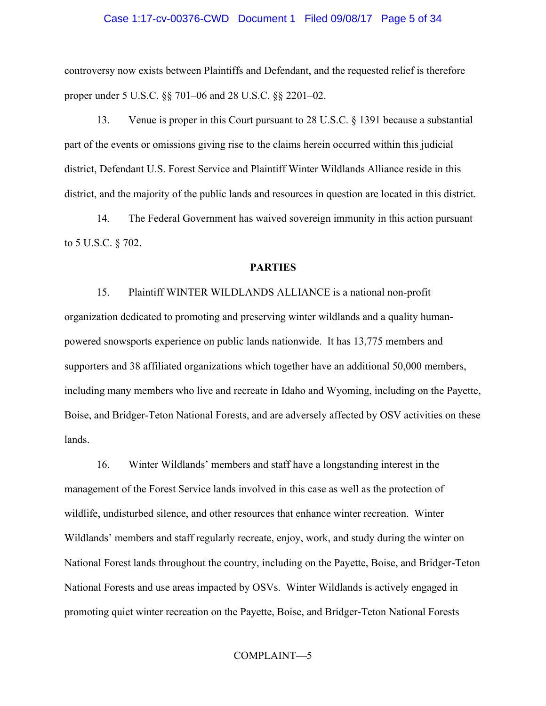### Case 1:17-cv-00376-CWD Document 1 Filed 09/08/17 Page 5 of 34

controversy now exists between Plaintiffs and Defendant, and the requested relief is therefore proper under 5 U.S.C. §§ 701–06 and 28 U.S.C. §§ 2201–02.

13. Venue is proper in this Court pursuant to 28 U.S.C. § 1391 because a substantial part of the events or omissions giving rise to the claims herein occurred within this judicial district, Defendant U.S. Forest Service and Plaintiff Winter Wildlands Alliance reside in this district, and the majority of the public lands and resources in question are located in this district.

14. The Federal Government has waived sovereign immunity in this action pursuant to 5 U.S.C. § 702.

### **PARTIES**

15. Plaintiff WINTER WILDLANDS ALLIANCE is a national non-profit organization dedicated to promoting and preserving winter wildlands and a quality humanpowered snowsports experience on public lands nationwide. It has 13,775 members and supporters and 38 affiliated organizations which together have an additional 50,000 members, including many members who live and recreate in Idaho and Wyoming, including on the Payette, Boise, and Bridger-Teton National Forests, and are adversely affected by OSV activities on these lands.

16. Winter Wildlands' members and staff have a longstanding interest in the management of the Forest Service lands involved in this case as well as the protection of wildlife, undisturbed silence, and other resources that enhance winter recreation. Winter Wildlands' members and staff regularly recreate, enjoy, work, and study during the winter on National Forest lands throughout the country, including on the Payette, Boise, and Bridger-Teton National Forests and use areas impacted by OSVs. Winter Wildlands is actively engaged in promoting quiet winter recreation on the Payette, Boise, and Bridger-Teton National Forests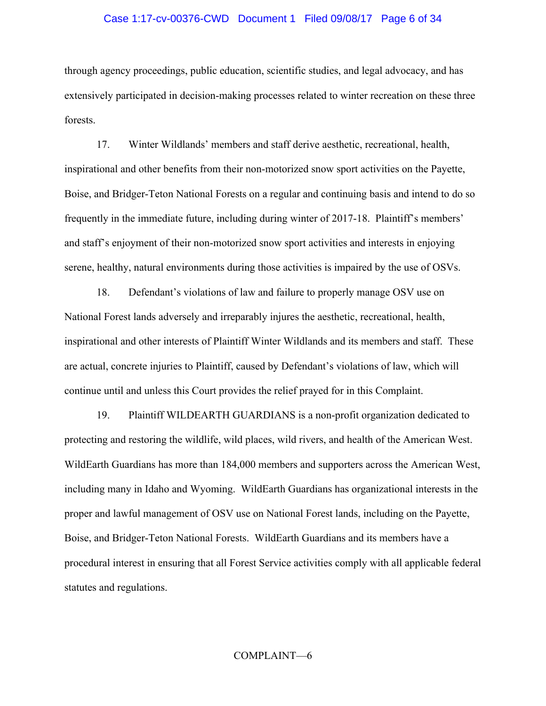#### Case 1:17-cv-00376-CWD Document 1 Filed 09/08/17 Page 6 of 34

through agency proceedings, public education, scientific studies, and legal advocacy, and has extensively participated in decision-making processes related to winter recreation on these three forests.

17. Winter Wildlands' members and staff derive aesthetic, recreational, health, inspirational and other benefits from their non-motorized snow sport activities on the Payette, Boise, and Bridger-Teton National Forests on a regular and continuing basis and intend to do so frequently in the immediate future, including during winter of 2017-18. Plaintiff's members' and staff's enjoyment of their non-motorized snow sport activities and interests in enjoying serene, healthy, natural environments during those activities is impaired by the use of OSVs.

18. Defendant's violations of law and failure to properly manage OSV use on National Forest lands adversely and irreparably injures the aesthetic, recreational, health, inspirational and other interests of Plaintiff Winter Wildlands and its members and staff. These are actual, concrete injuries to Plaintiff, caused by Defendant's violations of law, which will continue until and unless this Court provides the relief prayed for in this Complaint.

19. Plaintiff WILDEARTH GUARDIANS is a non-profit organization dedicated to protecting and restoring the wildlife, wild places, wild rivers, and health of the American West. WildEarth Guardians has more than 184,000 members and supporters across the American West, including many in Idaho and Wyoming. WildEarth Guardians has organizational interests in the proper and lawful management of OSV use on National Forest lands, including on the Payette, Boise, and Bridger-Teton National Forests. WildEarth Guardians and its members have a procedural interest in ensuring that all Forest Service activities comply with all applicable federal statutes and regulations.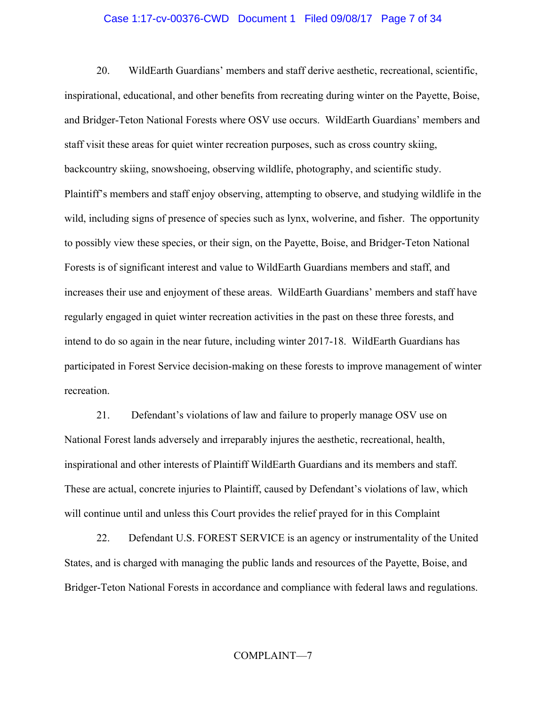### Case 1:17-cv-00376-CWD Document 1 Filed 09/08/17 Page 7 of 34

20. WildEarth Guardians' members and staff derive aesthetic, recreational, scientific, inspirational, educational, and other benefits from recreating during winter on the Payette, Boise, and Bridger-Teton National Forests where OSV use occurs. WildEarth Guardians' members and staff visit these areas for quiet winter recreation purposes, such as cross country skiing, backcountry skiing, snowshoeing, observing wildlife, photography, and scientific study. Plaintiff's members and staff enjoy observing, attempting to observe, and studying wildlife in the wild, including signs of presence of species such as lynx, wolverine, and fisher. The opportunity to possibly view these species, or their sign, on the Payette, Boise, and Bridger-Teton National Forests is of significant interest and value to WildEarth Guardians members and staff, and increases their use and enjoyment of these areas. WildEarth Guardians' members and staff have regularly engaged in quiet winter recreation activities in the past on these three forests, and intend to do so again in the near future, including winter 2017-18. WildEarth Guardians has participated in Forest Service decision-making on these forests to improve management of winter recreation.

21. Defendant's violations of law and failure to properly manage OSV use on National Forest lands adversely and irreparably injures the aesthetic, recreational, health, inspirational and other interests of Plaintiff WildEarth Guardians and its members and staff. These are actual, concrete injuries to Plaintiff, caused by Defendant's violations of law, which will continue until and unless this Court provides the relief prayed for in this Complaint

22. Defendant U.S. FOREST SERVICE is an agency or instrumentality of the United States, and is charged with managing the public lands and resources of the Payette, Boise, and Bridger-Teton National Forests in accordance and compliance with federal laws and regulations.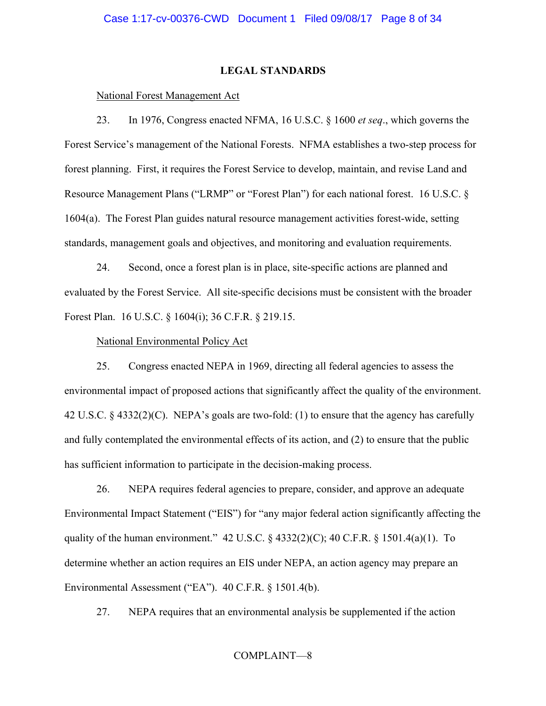## **LEGAL STANDARDS**

## National Forest Management Act

23. In 1976, Congress enacted NFMA, 16 U.S.C. § 1600 *et seq*., which governs the Forest Service's management of the National Forests. NFMA establishes a two-step process for forest planning. First, it requires the Forest Service to develop, maintain, and revise Land and Resource Management Plans ("LRMP" or "Forest Plan") for each national forest. 16 U.S.C. § 1604(a). The Forest Plan guides natural resource management activities forest-wide, setting standards, management goals and objectives, and monitoring and evaluation requirements.

24. Second, once a forest plan is in place, site-specific actions are planned and evaluated by the Forest Service. All site-specific decisions must be consistent with the broader Forest Plan. 16 U.S.C. § 1604(i); 36 C.F.R. § 219.15.

## National Environmental Policy Act

25. Congress enacted NEPA in 1969, directing all federal agencies to assess the environmental impact of proposed actions that significantly affect the quality of the environment. 42 U.S.C. § 4332(2)(C). NEPA's goals are two-fold: (1) to ensure that the agency has carefully and fully contemplated the environmental effects of its action, and (2) to ensure that the public has sufficient information to participate in the decision-making process.

26. NEPA requires federal agencies to prepare, consider, and approve an adequate Environmental Impact Statement ("EIS") for "any major federal action significantly affecting the quality of the human environment."  $42 \text{ U.S.C.}$  §  $4332(2)(\text{C})$ ;  $40 \text{ C.F.R.}$  §  $1501.4(a)(1)$ . To determine whether an action requires an EIS under NEPA, an action agency may prepare an Environmental Assessment ("EA"). 40 C.F.R. § 1501.4(b).

27. NEPA requires that an environmental analysis be supplemented if the action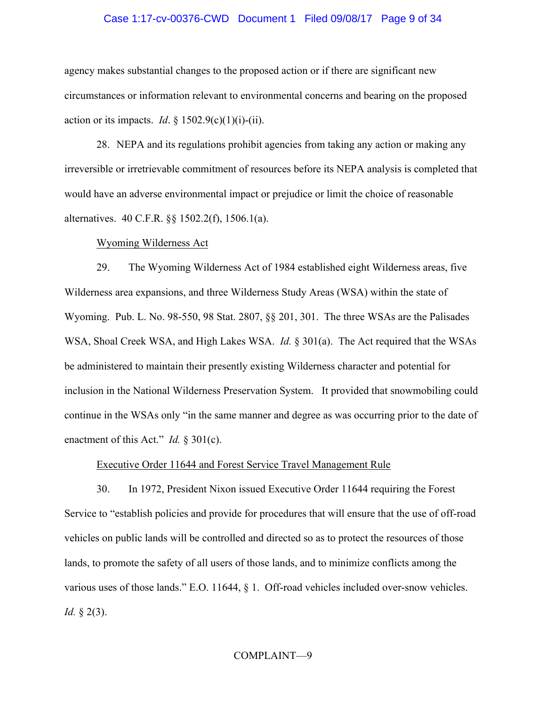### Case 1:17-cv-00376-CWD Document 1 Filed 09/08/17 Page 9 of 34

agency makes substantial changes to the proposed action or if there are significant new circumstances or information relevant to environmental concerns and bearing on the proposed action or its impacts. *Id.*  $\S 1502.9(c)(1)(i)-(ii)$ .

28. NEPA and its regulations prohibit agencies from taking any action or making any irreversible or irretrievable commitment of resources before its NEPA analysis is completed that would have an adverse environmental impact or prejudice or limit the choice of reasonable alternatives. 40 C.F.R. §§ 1502.2(f), 1506.1(a).

## Wyoming Wilderness Act

29. The Wyoming Wilderness Act of 1984 established eight Wilderness areas, five Wilderness area expansions, and three Wilderness Study Areas (WSA) within the state of Wyoming. Pub. L. No. 98-550, 98 Stat. 2807, §§ 201, 301. The three WSAs are the Palisades WSA, Shoal Creek WSA, and High Lakes WSA. *Id.* § 301(a). The Act required that the WSAs be administered to maintain their presently existing Wilderness character and potential for inclusion in the National Wilderness Preservation System. It provided that snowmobiling could continue in the WSAs only "in the same manner and degree as was occurring prior to the date of enactment of this Act." *Id.* § 301(c).

## Executive Order 11644 and Forest Service Travel Management Rule

30. In 1972, President Nixon issued Executive Order 11644 requiring the Forest Service to "establish policies and provide for procedures that will ensure that the use of off-road vehicles on public lands will be controlled and directed so as to protect the resources of those lands, to promote the safety of all users of those lands, and to minimize conflicts among the various uses of those lands." E.O. 11644, § 1. Off-road vehicles included over-snow vehicles. *Id.* § 2(3).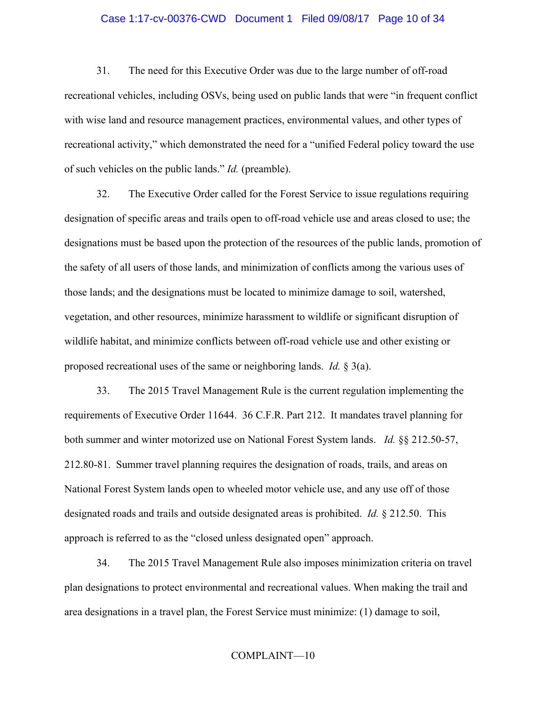## Case 1:17-cv-00376-CWD Document 1 Filed 09/08/17 Page 10 of 34

31. The need for this Executive Order was due to the large number of off-road recreational vehicles, including OSVs, being used on public lands that were "in frequent conflict with wise land and resource management practices, environmental values, and other types of recreational activity," which demonstrated the need for a "unified Federal policy toward the use of such vehicles on the public lands." *Id.* (preamble).

32. The Executive Order called for the Forest Service to issue regulations requiring designation of specific areas and trails open to off-road vehicle use and areas closed to use; the designations must be based upon the protection of the resources of the public lands, promotion of the safety of all users of those lands, and minimization of conflicts among the various uses of those lands; and the designations must be located to minimize damage to soil, watershed, vegetation, and other resources, minimize harassment to wildlife or significant disruption of wildlife habitat, and minimize conflicts between off-road vehicle use and other existing or proposed recreational uses of the same or neighboring lands. *Id.* § 3(a).

33. The 2015 Travel Management Rule is the current regulation implementing the requirements of Executive Order 11644. 36 C.F.R. Part 212. It mandates travel planning for both summer and winter motorized use on National Forest System lands. *Id.* §§ 212.50-57, 212.80-81. Summer travel planning requires the designation of roads, trails, and areas on National Forest System lands open to wheeled motor vehicle use, and any use off of those designated roads and trails and outside designated areas is prohibited. *Id.* § 212.50. This approach is referred to as the "closed unless designated open" approach.

34. The 2015 Travel Management Rule also imposes minimization criteria on travel plan designations to protect environmental and recreational values. When making the trail and area designations in a travel plan, the Forest Service must minimize: (1) damage to soil,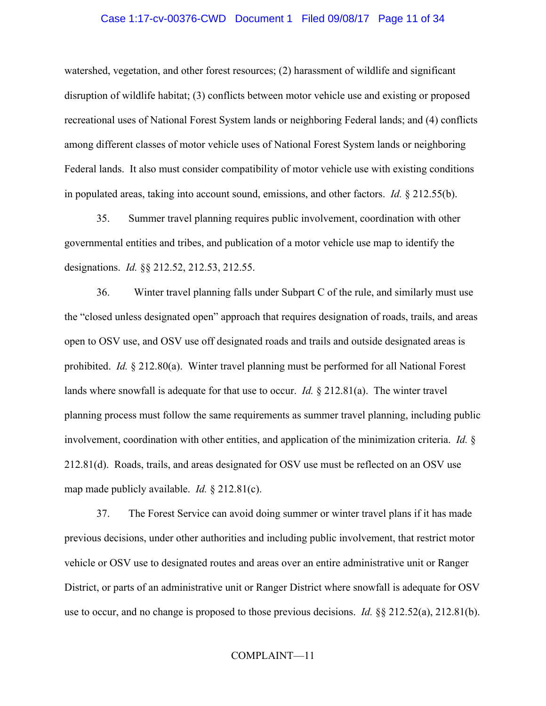#### Case 1:17-cv-00376-CWD Document 1 Filed 09/08/17 Page 11 of 34

watershed, vegetation, and other forest resources; (2) harassment of wildlife and significant disruption of wildlife habitat; (3) conflicts between motor vehicle use and existing or proposed recreational uses of National Forest System lands or neighboring Federal lands; and (4) conflicts among different classes of motor vehicle uses of National Forest System lands or neighboring Federal lands. It also must consider compatibility of motor vehicle use with existing conditions in populated areas, taking into account sound, emissions, and other factors. *Id.* § 212.55(b).

35. Summer travel planning requires public involvement, coordination with other governmental entities and tribes, and publication of a motor vehicle use map to identify the designations. *Id.* §§ 212.52, 212.53, 212.55.

36. Winter travel planning falls under Subpart C of the rule, and similarly must use the "closed unless designated open" approach that requires designation of roads, trails, and areas open to OSV use, and OSV use off designated roads and trails and outside designated areas is prohibited. *Id.* § 212.80(a). Winter travel planning must be performed for all National Forest lands where snowfall is adequate for that use to occur. *Id.* § 212.81(a). The winter travel planning process must follow the same requirements as summer travel planning, including public involvement, coordination with other entities, and application of the minimization criteria. *Id.* § 212.81(d). Roads, trails, and areas designated for OSV use must be reflected on an OSV use map made publicly available. *Id.* § 212.81(c).

37. The Forest Service can avoid doing summer or winter travel plans if it has made previous decisions, under other authorities and including public involvement, that restrict motor vehicle or OSV use to designated routes and areas over an entire administrative unit or Ranger District, or parts of an administrative unit or Ranger District where snowfall is adequate for OSV use to occur, and no change is proposed to those previous decisions. *Id.* §§ 212.52(a), 212.81(b).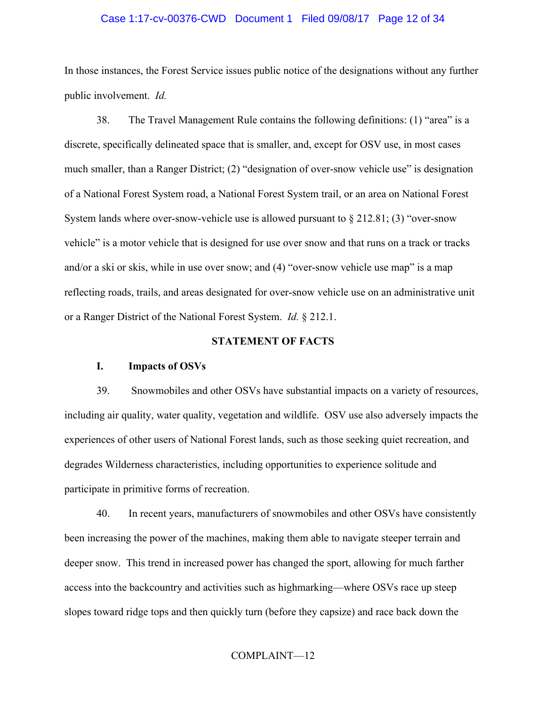### Case 1:17-cv-00376-CWD Document 1 Filed 09/08/17 Page 12 of 34

In those instances, the Forest Service issues public notice of the designations without any further public involvement. *Id.*

38. The Travel Management Rule contains the following definitions: (1) "area" is a discrete, specifically delineated space that is smaller, and, except for OSV use, in most cases much smaller, than a Ranger District; (2) "designation of over-snow vehicle use" is designation of a National Forest System road, a National Forest System trail, or an area on National Forest System lands where over-snow-vehicle use is allowed pursuant to  $\S 212.81$ ; (3) "over-snow vehicle" is a motor vehicle that is designed for use over snow and that runs on a track or tracks and/or a ski or skis, while in use over snow; and (4) "over-snow vehicle use map" is a map reflecting roads, trails, and areas designated for over-snow vehicle use on an administrative unit or a Ranger District of the National Forest System. *Id.* § 212.1.

## **STATEMENT OF FACTS**

## **I. Impacts of OSVs**

39. Snowmobiles and other OSVs have substantial impacts on a variety of resources, including air quality, water quality, vegetation and wildlife. OSV use also adversely impacts the experiences of other users of National Forest lands, such as those seeking quiet recreation, and degrades Wilderness characteristics, including opportunities to experience solitude and participate in primitive forms of recreation.

40. In recent years, manufacturers of snowmobiles and other OSVs have consistently been increasing the power of the machines, making them able to navigate steeper terrain and deeper snow. This trend in increased power has changed the sport, allowing for much farther access into the backcountry and activities such as highmarking—where OSVs race up steep slopes toward ridge tops and then quickly turn (before they capsize) and race back down the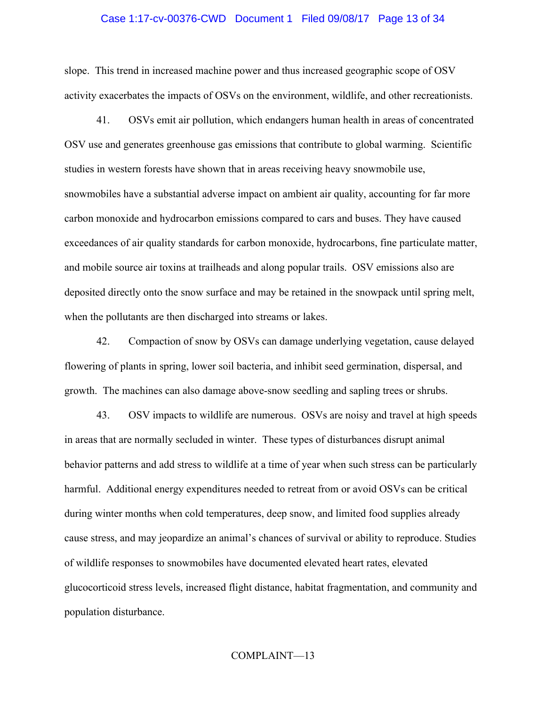#### Case 1:17-cv-00376-CWD Document 1 Filed 09/08/17 Page 13 of 34

slope. This trend in increased machine power and thus increased geographic scope of OSV activity exacerbates the impacts of OSVs on the environment, wildlife, and other recreationists.

41. OSVs emit air pollution, which endangers human health in areas of concentrated OSV use and generates greenhouse gas emissions that contribute to global warming. Scientific studies in western forests have shown that in areas receiving heavy snowmobile use, snowmobiles have a substantial adverse impact on ambient air quality, accounting for far more carbon monoxide and hydrocarbon emissions compared to cars and buses. They have caused exceedances of air quality standards for carbon monoxide, hydrocarbons, fine particulate matter, and mobile source air toxins at trailheads and along popular trails. OSV emissions also are deposited directly onto the snow surface and may be retained in the snowpack until spring melt, when the pollutants are then discharged into streams or lakes.

42. Compaction of snow by OSVs can damage underlying vegetation, cause delayed flowering of plants in spring, lower soil bacteria, and inhibit seed germination, dispersal, and growth. The machines can also damage above-snow seedling and sapling trees or shrubs.

43. OSV impacts to wildlife are numerous. OSVs are noisy and travel at high speeds in areas that are normally secluded in winter. These types of disturbances disrupt animal behavior patterns and add stress to wildlife at a time of year when such stress can be particularly harmful. Additional energy expenditures needed to retreat from or avoid OSVs can be critical during winter months when cold temperatures, deep snow, and limited food supplies already cause stress, and may jeopardize an animal's chances of survival or ability to reproduce. Studies of wildlife responses to snowmobiles have documented elevated heart rates, elevated glucocorticoid stress levels, increased flight distance, habitat fragmentation, and community and population disturbance.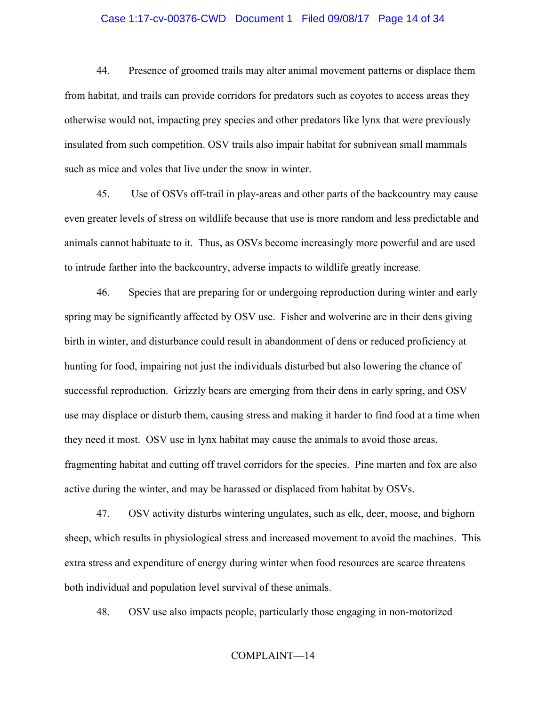## Case 1:17-cv-00376-CWD Document 1 Filed 09/08/17 Page 14 of 34

44. Presence of groomed trails may alter animal movement patterns or displace them from habitat, and trails can provide corridors for predators such as coyotes to access areas they otherwise would not, impacting prey species and other predators like lynx that were previously insulated from such competition. OSV trails also impair habitat for subnivean small mammals such as mice and voles that live under the snow in winter.

45. Use of OSVs off-trail in play-areas and other parts of the backcountry may cause even greater levels of stress on wildlife because that use is more random and less predictable and animals cannot habituate to it. Thus, as OSVs become increasingly more powerful and are used to intrude farther into the backcountry, adverse impacts to wildlife greatly increase.

46. Species that are preparing for or undergoing reproduction during winter and early spring may be significantly affected by OSV use. Fisher and wolverine are in their dens giving birth in winter, and disturbance could result in abandonment of dens or reduced proficiency at hunting for food, impairing not just the individuals disturbed but also lowering the chance of successful reproduction. Grizzly bears are emerging from their dens in early spring, and OSV use may displace or disturb them, causing stress and making it harder to find food at a time when they need it most. OSV use in lynx habitat may cause the animals to avoid those areas, fragmenting habitat and cutting off travel corridors for the species. Pine marten and fox are also active during the winter, and may be harassed or displaced from habitat by OSVs.

47. OSV activity disturbs wintering ungulates, such as elk, deer, moose, and bighorn sheep, which results in physiological stress and increased movement to avoid the machines. This extra stress and expenditure of energy during winter when food resources are scarce threatens both individual and population level survival of these animals.

48. OSV use also impacts people, particularly those engaging in non-motorized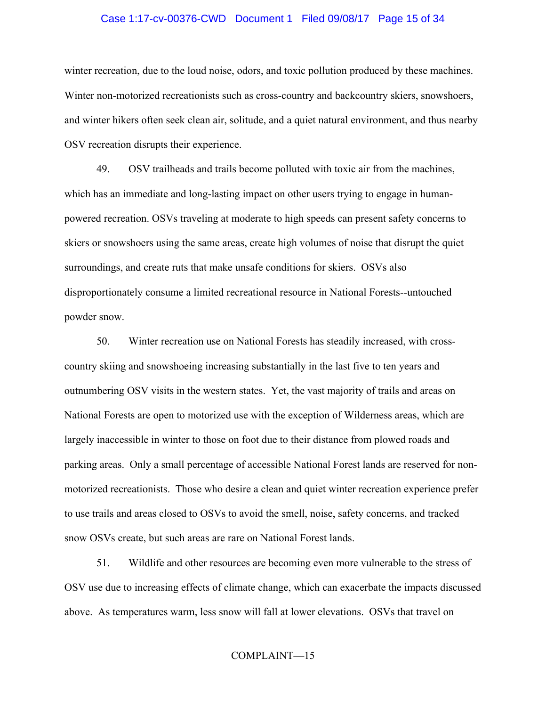#### Case 1:17-cv-00376-CWD Document 1 Filed 09/08/17 Page 15 of 34

winter recreation, due to the loud noise, odors, and toxic pollution produced by these machines. Winter non-motorized recreationists such as cross-country and backcountry skiers, snowshoers, and winter hikers often seek clean air, solitude, and a quiet natural environment, and thus nearby OSV recreation disrupts their experience.

49. OSV trailheads and trails become polluted with toxic air from the machines, which has an immediate and long-lasting impact on other users trying to engage in humanpowered recreation. OSVs traveling at moderate to high speeds can present safety concerns to skiers or snowshoers using the same areas, create high volumes of noise that disrupt the quiet surroundings, and create ruts that make unsafe conditions for skiers. OSVs also disproportionately consume a limited recreational resource in National Forests--untouched powder snow.

50. Winter recreation use on National Forests has steadily increased, with crosscountry skiing and snowshoeing increasing substantially in the last five to ten years and outnumbering OSV visits in the western states. Yet, the vast majority of trails and areas on National Forests are open to motorized use with the exception of Wilderness areas, which are largely inaccessible in winter to those on foot due to their distance from plowed roads and parking areas. Only a small percentage of accessible National Forest lands are reserved for nonmotorized recreationists. Those who desire a clean and quiet winter recreation experience prefer to use trails and areas closed to OSVs to avoid the smell, noise, safety concerns, and tracked snow OSVs create, but such areas are rare on National Forest lands.

51. Wildlife and other resources are becoming even more vulnerable to the stress of OSV use due to increasing effects of climate change, which can exacerbate the impacts discussed above. As temperatures warm, less snow will fall at lower elevations. OSVs that travel on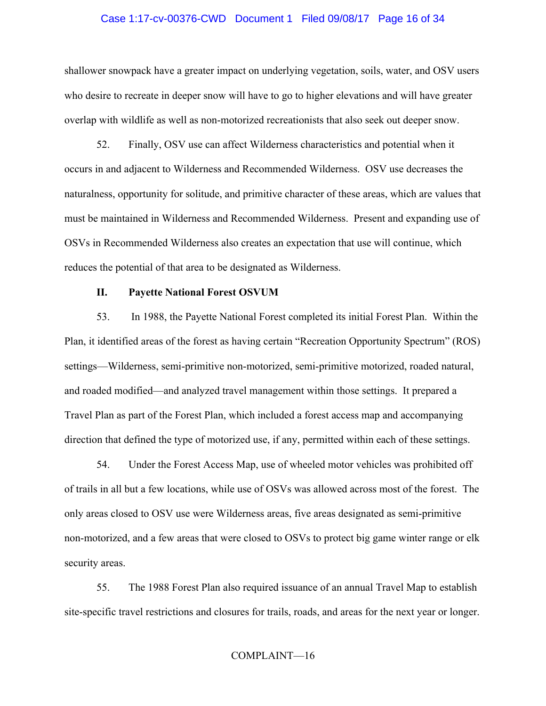#### Case 1:17-cv-00376-CWD Document 1 Filed 09/08/17 Page 16 of 34

shallower snowpack have a greater impact on underlying vegetation, soils, water, and OSV users who desire to recreate in deeper snow will have to go to higher elevations and will have greater overlap with wildlife as well as non-motorized recreationists that also seek out deeper snow.

52. Finally, OSV use can affect Wilderness characteristics and potential when it occurs in and adjacent to Wilderness and Recommended Wilderness. OSV use decreases the naturalness, opportunity for solitude, and primitive character of these areas, which are values that must be maintained in Wilderness and Recommended Wilderness. Present and expanding use of OSVs in Recommended Wilderness also creates an expectation that use will continue, which reduces the potential of that area to be designated as Wilderness.

### **II. Payette National Forest OSVUM**

53. In 1988, the Payette National Forest completed its initial Forest Plan. Within the Plan, it identified areas of the forest as having certain "Recreation Opportunity Spectrum" (ROS) settings—Wilderness, semi-primitive non-motorized, semi-primitive motorized, roaded natural, and roaded modified—and analyzed travel management within those settings. It prepared a Travel Plan as part of the Forest Plan, which included a forest access map and accompanying direction that defined the type of motorized use, if any, permitted within each of these settings.

54. Under the Forest Access Map, use of wheeled motor vehicles was prohibited off of trails in all but a few locations, while use of OSVs was allowed across most of the forest. The only areas closed to OSV use were Wilderness areas, five areas designated as semi-primitive non-motorized, and a few areas that were closed to OSVs to protect big game winter range or elk security areas.

55. The 1988 Forest Plan also required issuance of an annual Travel Map to establish site-specific travel restrictions and closures for trails, roads, and areas for the next year or longer.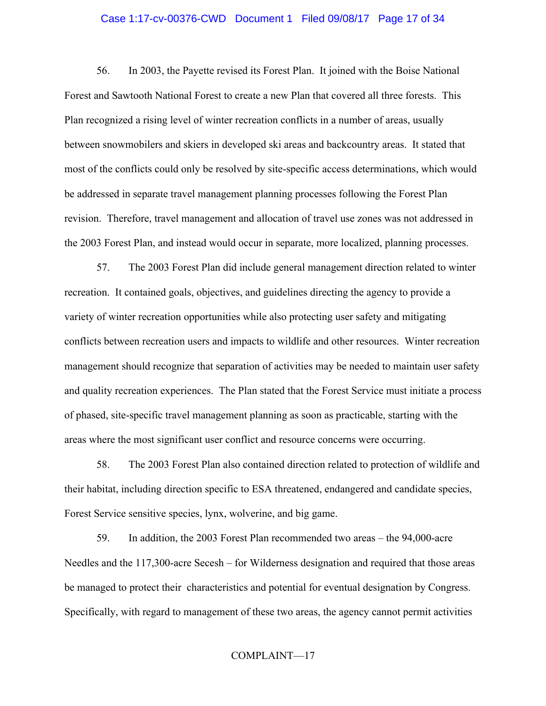#### Case 1:17-cv-00376-CWD Document 1 Filed 09/08/17 Page 17 of 34

56. In 2003, the Payette revised its Forest Plan. It joined with the Boise National Forest and Sawtooth National Forest to create a new Plan that covered all three forests. This Plan recognized a rising level of winter recreation conflicts in a number of areas, usually between snowmobilers and skiers in developed ski areas and backcountry areas. It stated that most of the conflicts could only be resolved by site-specific access determinations, which would be addressed in separate travel management planning processes following the Forest Plan revision. Therefore, travel management and allocation of travel use zones was not addressed in the 2003 Forest Plan, and instead would occur in separate, more localized, planning processes.

57. The 2003 Forest Plan did include general management direction related to winter recreation. It contained goals, objectives, and guidelines directing the agency to provide a variety of winter recreation opportunities while also protecting user safety and mitigating conflicts between recreation users and impacts to wildlife and other resources. Winter recreation management should recognize that separation of activities may be needed to maintain user safety and quality recreation experiences. The Plan stated that the Forest Service must initiate a process of phased, site-specific travel management planning as soon as practicable, starting with the areas where the most significant user conflict and resource concerns were occurring.

58. The 2003 Forest Plan also contained direction related to protection of wildlife and their habitat, including direction specific to ESA threatened, endangered and candidate species, Forest Service sensitive species, lynx, wolverine, and big game.

59. In addition, the 2003 Forest Plan recommended two areas – the 94,000-acre Needles and the 117,300-acre Secesh – for Wilderness designation and required that those areas be managed to protect their characteristics and potential for eventual designation by Congress. Specifically, with regard to management of these two areas, the agency cannot permit activities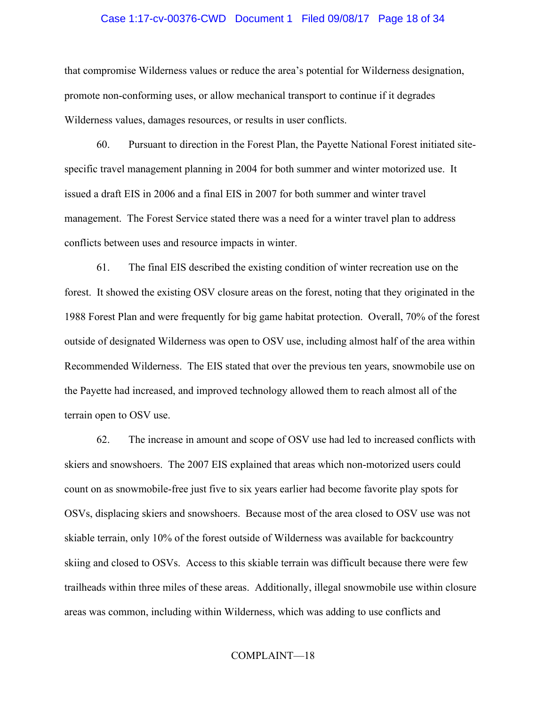#### Case 1:17-cv-00376-CWD Document 1 Filed 09/08/17 Page 18 of 34

that compromise Wilderness values or reduce the area's potential for Wilderness designation, promote non-conforming uses, or allow mechanical transport to continue if it degrades Wilderness values, damages resources, or results in user conflicts.

60. Pursuant to direction in the Forest Plan, the Payette National Forest initiated sitespecific travel management planning in 2004 for both summer and winter motorized use. It issued a draft EIS in 2006 and a final EIS in 2007 for both summer and winter travel management. The Forest Service stated there was a need for a winter travel plan to address conflicts between uses and resource impacts in winter.

61. The final EIS described the existing condition of winter recreation use on the forest. It showed the existing OSV closure areas on the forest, noting that they originated in the 1988 Forest Plan and were frequently for big game habitat protection. Overall, 70% of the forest outside of designated Wilderness was open to OSV use, including almost half of the area within Recommended Wilderness. The EIS stated that over the previous ten years, snowmobile use on the Payette had increased, and improved technology allowed them to reach almost all of the terrain open to OSV use.

62. The increase in amount and scope of OSV use had led to increased conflicts with skiers and snowshoers. The 2007 EIS explained that areas which non-motorized users could count on as snowmobile-free just five to six years earlier had become favorite play spots for OSVs, displacing skiers and snowshoers. Because most of the area closed to OSV use was not skiable terrain, only 10% of the forest outside of Wilderness was available for backcountry skiing and closed to OSVs. Access to this skiable terrain was difficult because there were few trailheads within three miles of these areas. Additionally, illegal snowmobile use within closure areas was common, including within Wilderness, which was adding to use conflicts and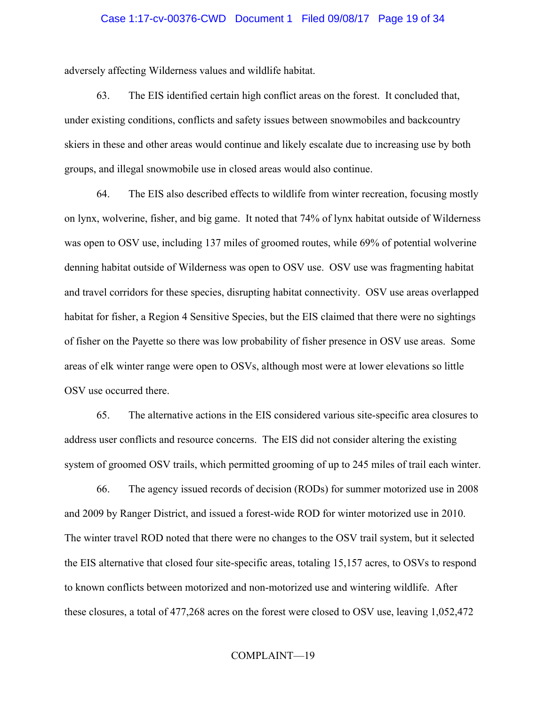#### Case 1:17-cv-00376-CWD Document 1 Filed 09/08/17 Page 19 of 34

adversely affecting Wilderness values and wildlife habitat.

63. The EIS identified certain high conflict areas on the forest. It concluded that, under existing conditions, conflicts and safety issues between snowmobiles and backcountry skiers in these and other areas would continue and likely escalate due to increasing use by both groups, and illegal snowmobile use in closed areas would also continue.

64. The EIS also described effects to wildlife from winter recreation, focusing mostly on lynx, wolverine, fisher, and big game. It noted that 74% of lynx habitat outside of Wilderness was open to OSV use, including 137 miles of groomed routes, while 69% of potential wolverine denning habitat outside of Wilderness was open to OSV use. OSV use was fragmenting habitat and travel corridors for these species, disrupting habitat connectivity. OSV use areas overlapped habitat for fisher, a Region 4 Sensitive Species, but the EIS claimed that there were no sightings of fisher on the Payette so there was low probability of fisher presence in OSV use areas. Some areas of elk winter range were open to OSVs, although most were at lower elevations so little OSV use occurred there.

65. The alternative actions in the EIS considered various site-specific area closures to address user conflicts and resource concerns. The EIS did not consider altering the existing system of groomed OSV trails, which permitted grooming of up to 245 miles of trail each winter.

66. The agency issued records of decision (RODs) for summer motorized use in 2008 and 2009 by Ranger District, and issued a forest-wide ROD for winter motorized use in 2010. The winter travel ROD noted that there were no changes to the OSV trail system, but it selected the EIS alternative that closed four site-specific areas, totaling 15,157 acres, to OSVs to respond to known conflicts between motorized and non-motorized use and wintering wildlife. After these closures, a total of 477,268 acres on the forest were closed to OSV use, leaving 1,052,472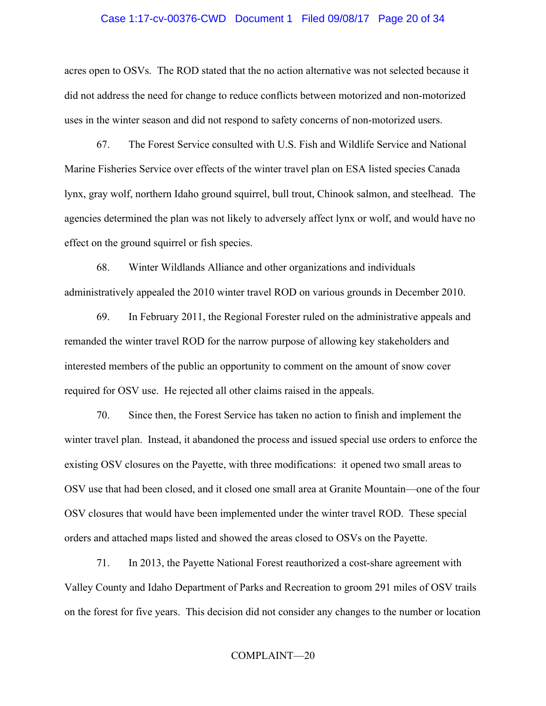#### Case 1:17-cv-00376-CWD Document 1 Filed 09/08/17 Page 20 of 34

acres open to OSVs. The ROD stated that the no action alternative was not selected because it did not address the need for change to reduce conflicts between motorized and non-motorized uses in the winter season and did not respond to safety concerns of non-motorized users.

67. The Forest Service consulted with U.S. Fish and Wildlife Service and National Marine Fisheries Service over effects of the winter travel plan on ESA listed species Canada lynx, gray wolf, northern Idaho ground squirrel, bull trout, Chinook salmon, and steelhead. The agencies determined the plan was not likely to adversely affect lynx or wolf, and would have no effect on the ground squirrel or fish species.

68. Winter Wildlands Alliance and other organizations and individuals administratively appealed the 2010 winter travel ROD on various grounds in December 2010.

69. In February 2011, the Regional Forester ruled on the administrative appeals and remanded the winter travel ROD for the narrow purpose of allowing key stakeholders and interested members of the public an opportunity to comment on the amount of snow cover required for OSV use. He rejected all other claims raised in the appeals.

70. Since then, the Forest Service has taken no action to finish and implement the winter travel plan. Instead, it abandoned the process and issued special use orders to enforce the existing OSV closures on the Payette, with three modifications: it opened two small areas to OSV use that had been closed, and it closed one small area at Granite Mountain—one of the four OSV closures that would have been implemented under the winter travel ROD. These special orders and attached maps listed and showed the areas closed to OSVs on the Payette.

71. In 2013, the Payette National Forest reauthorized a cost-share agreement with Valley County and Idaho Department of Parks and Recreation to groom 291 miles of OSV trails on the forest for five years. This decision did not consider any changes to the number or location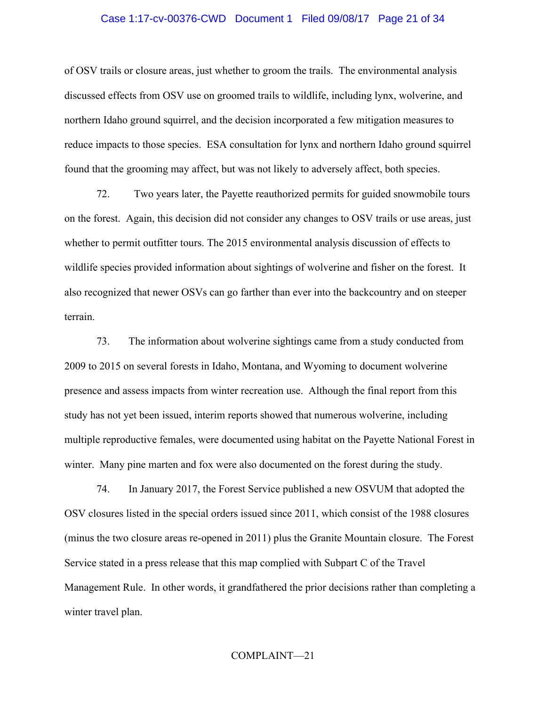#### Case 1:17-cv-00376-CWD Document 1 Filed 09/08/17 Page 21 of 34

of OSV trails or closure areas, just whether to groom the trails. The environmental analysis discussed effects from OSV use on groomed trails to wildlife, including lynx, wolverine, and northern Idaho ground squirrel, and the decision incorporated a few mitigation measures to reduce impacts to those species. ESA consultation for lynx and northern Idaho ground squirrel found that the grooming may affect, but was not likely to adversely affect, both species.

72. Two years later, the Payette reauthorized permits for guided snowmobile tours on the forest. Again, this decision did not consider any changes to OSV trails or use areas, just whether to permit outfitter tours. The 2015 environmental analysis discussion of effects to wildlife species provided information about sightings of wolverine and fisher on the forest. It also recognized that newer OSVs can go farther than ever into the backcountry and on steeper terrain.

73. The information about wolverine sightings came from a study conducted from 2009 to 2015 on several forests in Idaho, Montana, and Wyoming to document wolverine presence and assess impacts from winter recreation use. Although the final report from this study has not yet been issued, interim reports showed that numerous wolverine, including multiple reproductive females, were documented using habitat on the Payette National Forest in winter. Many pine marten and fox were also documented on the forest during the study.

74. In January 2017, the Forest Service published a new OSVUM that adopted the OSV closures listed in the special orders issued since 2011, which consist of the 1988 closures (minus the two closure areas re-opened in 2011) plus the Granite Mountain closure. The Forest Service stated in a press release that this map complied with Subpart C of the Travel Management Rule. In other words, it grandfathered the prior decisions rather than completing a winter travel plan.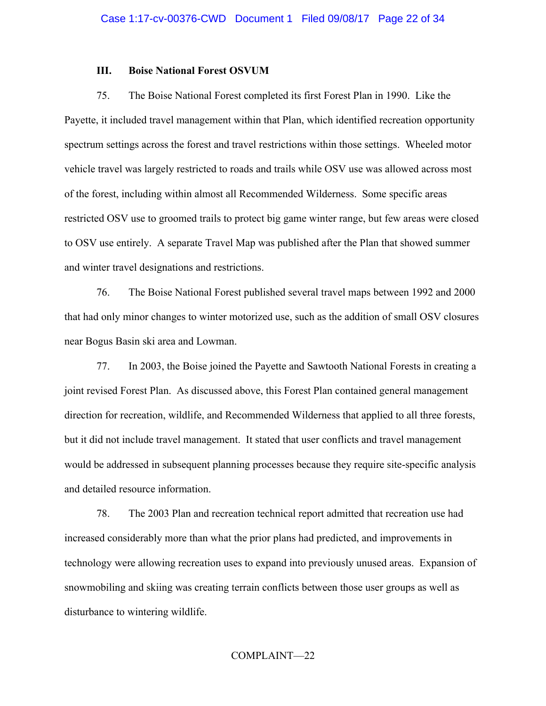## **III. Boise National Forest OSVUM**

75. The Boise National Forest completed its first Forest Plan in 1990. Like the Payette, it included travel management within that Plan, which identified recreation opportunity spectrum settings across the forest and travel restrictions within those settings. Wheeled motor vehicle travel was largely restricted to roads and trails while OSV use was allowed across most of the forest, including within almost all Recommended Wilderness. Some specific areas restricted OSV use to groomed trails to protect big game winter range, but few areas were closed to OSV use entirely. A separate Travel Map was published after the Plan that showed summer and winter travel designations and restrictions.

76. The Boise National Forest published several travel maps between 1992 and 2000 that had only minor changes to winter motorized use, such as the addition of small OSV closures near Bogus Basin ski area and Lowman.

77. In 2003, the Boise joined the Payette and Sawtooth National Forests in creating a joint revised Forest Plan. As discussed above, this Forest Plan contained general management direction for recreation, wildlife, and Recommended Wilderness that applied to all three forests, but it did not include travel management. It stated that user conflicts and travel management would be addressed in subsequent planning processes because they require site-specific analysis and detailed resource information.

78. The 2003 Plan and recreation technical report admitted that recreation use had increased considerably more than what the prior plans had predicted, and improvements in technology were allowing recreation uses to expand into previously unused areas. Expansion of snowmobiling and skiing was creating terrain conflicts between those user groups as well as disturbance to wintering wildlife.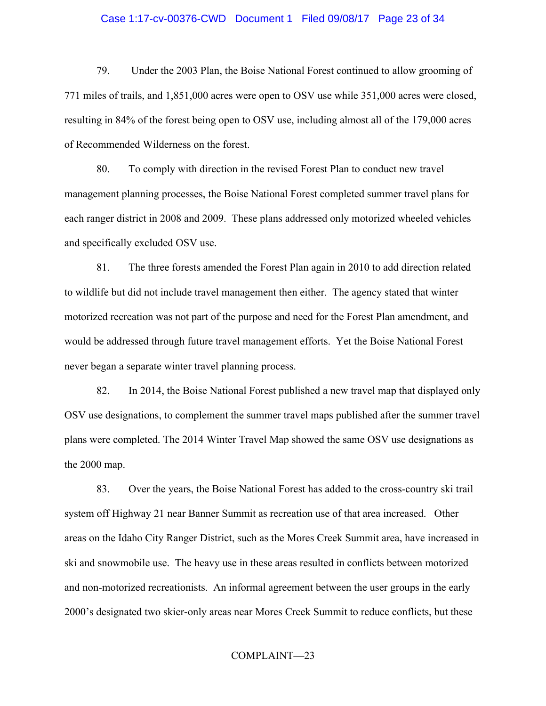#### Case 1:17-cv-00376-CWD Document 1 Filed 09/08/17 Page 23 of 34

79. Under the 2003 Plan, the Boise National Forest continued to allow grooming of 771 miles of trails, and 1,851,000 acres were open to OSV use while 351,000 acres were closed, resulting in 84% of the forest being open to OSV use, including almost all of the 179,000 acres of Recommended Wilderness on the forest.

80. To comply with direction in the revised Forest Plan to conduct new travel management planning processes, the Boise National Forest completed summer travel plans for each ranger district in 2008 and 2009. These plans addressed only motorized wheeled vehicles and specifically excluded OSV use.

81. The three forests amended the Forest Plan again in 2010 to add direction related to wildlife but did not include travel management then either. The agency stated that winter motorized recreation was not part of the purpose and need for the Forest Plan amendment, and would be addressed through future travel management efforts. Yet the Boise National Forest never began a separate winter travel planning process.

82. In 2014, the Boise National Forest published a new travel map that displayed only OSV use designations, to complement the summer travel maps published after the summer travel plans were completed. The 2014 Winter Travel Map showed the same OSV use designations as the 2000 map.

83. Over the years, the Boise National Forest has added to the cross-country ski trail system off Highway 21 near Banner Summit as recreation use of that area increased. Other areas on the Idaho City Ranger District, such as the Mores Creek Summit area, have increased in ski and snowmobile use. The heavy use in these areas resulted in conflicts between motorized and non-motorized recreationists. An informal agreement between the user groups in the early 2000's designated two skier-only areas near Mores Creek Summit to reduce conflicts, but these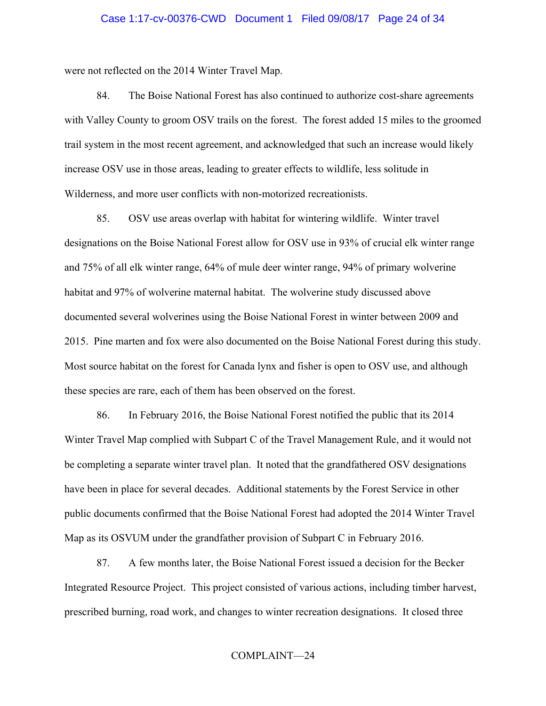were not reflected on the 2014 Winter Travel Map.

84. The Boise National Forest has also continued to authorize cost-share agreements with Valley County to groom OSV trails on the forest. The forest added 15 miles to the groomed trail system in the most recent agreement, and acknowledged that such an increase would likely increase OSV use in those areas, leading to greater effects to wildlife, less solitude in Wilderness, and more user conflicts with non-motorized recreationists.

85. OSV use areas overlap with habitat for wintering wildlife. Winter travel designations on the Boise National Forest allow for OSV use in 93% of crucial elk winter range and 75% of all elk winter range, 64% of mule deer winter range, 94% of primary wolverine habitat and 97% of wolverine maternal habitat. The wolverine study discussed above documented several wolverines using the Boise National Forest in winter between 2009 and 2015. Pine marten and fox were also documented on the Boise National Forest during this study. Most source habitat on the forest for Canada lynx and fisher is open to OSV use, and although these species are rare, each of them has been observed on the forest.

86. In February 2016, the Boise National Forest notified the public that its 2014 Winter Travel Map complied with Subpart C of the Travel Management Rule, and it would not be completing a separate winter travel plan. It noted that the grandfathered OSV designations have been in place for several decades. Additional statements by the Forest Service in other public documents confirmed that the Boise National Forest had adopted the 2014 Winter Travel Map as its OSVUM under the grandfather provision of Subpart C in February 2016.

87. A few months later, the Boise National Forest issued a decision for the Becker Integrated Resource Project. This project consisted of various actions, including timber harvest, prescribed burning, road work, and changes to winter recreation designations. It closed three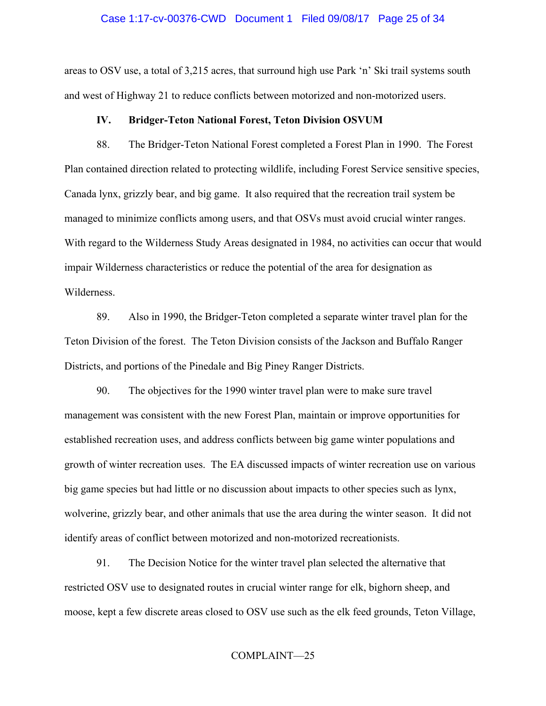#### Case 1:17-cv-00376-CWD Document 1 Filed 09/08/17 Page 25 of 34

areas to OSV use, a total of 3,215 acres, that surround high use Park 'n' Ski trail systems south and west of Highway 21 to reduce conflicts between motorized and non-motorized users.

#### **IV. Bridger-Teton National Forest, Teton Division OSVUM**

88. The Bridger-Teton National Forest completed a Forest Plan in 1990. The Forest Plan contained direction related to protecting wildlife, including Forest Service sensitive species, Canada lynx, grizzly bear, and big game. It also required that the recreation trail system be managed to minimize conflicts among users, and that OSVs must avoid crucial winter ranges. With regard to the Wilderness Study Areas designated in 1984, no activities can occur that would impair Wilderness characteristics or reduce the potential of the area for designation as Wilderness.

89. Also in 1990, the Bridger-Teton completed a separate winter travel plan for the Teton Division of the forest. The Teton Division consists of the Jackson and Buffalo Ranger Districts, and portions of the Pinedale and Big Piney Ranger Districts.

90. The objectives for the 1990 winter travel plan were to make sure travel management was consistent with the new Forest Plan, maintain or improve opportunities for established recreation uses, and address conflicts between big game winter populations and growth of winter recreation uses. The EA discussed impacts of winter recreation use on various big game species but had little or no discussion about impacts to other species such as lynx, wolverine, grizzly bear, and other animals that use the area during the winter season. It did not identify areas of conflict between motorized and non-motorized recreationists.

91. The Decision Notice for the winter travel plan selected the alternative that restricted OSV use to designated routes in crucial winter range for elk, bighorn sheep, and moose, kept a few discrete areas closed to OSV use such as the elk feed grounds, Teton Village,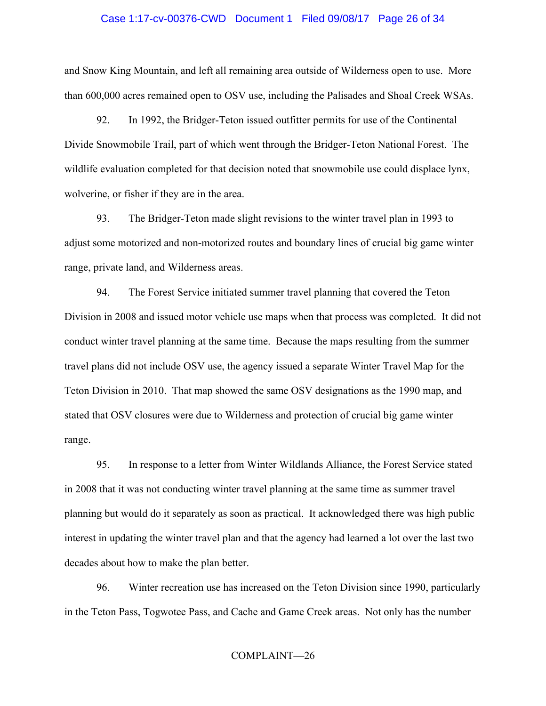#### Case 1:17-cv-00376-CWD Document 1 Filed 09/08/17 Page 26 of 34

and Snow King Mountain, and left all remaining area outside of Wilderness open to use. More than 600,000 acres remained open to OSV use, including the Palisades and Shoal Creek WSAs.

92. In 1992, the Bridger-Teton issued outfitter permits for use of the Continental Divide Snowmobile Trail, part of which went through the Bridger-Teton National Forest. The wildlife evaluation completed for that decision noted that snowmobile use could displace lynx, wolverine, or fisher if they are in the area.

93. The Bridger-Teton made slight revisions to the winter travel plan in 1993 to adjust some motorized and non-motorized routes and boundary lines of crucial big game winter range, private land, and Wilderness areas.

94. The Forest Service initiated summer travel planning that covered the Teton Division in 2008 and issued motor vehicle use maps when that process was completed. It did not conduct winter travel planning at the same time. Because the maps resulting from the summer travel plans did not include OSV use, the agency issued a separate Winter Travel Map for the Teton Division in 2010. That map showed the same OSV designations as the 1990 map, and stated that OSV closures were due to Wilderness and protection of crucial big game winter range.

95. In response to a letter from Winter Wildlands Alliance, the Forest Service stated in 2008 that it was not conducting winter travel planning at the same time as summer travel planning but would do it separately as soon as practical. It acknowledged there was high public interest in updating the winter travel plan and that the agency had learned a lot over the last two decades about how to make the plan better.

96. Winter recreation use has increased on the Teton Division since 1990, particularly in the Teton Pass, Togwotee Pass, and Cache and Game Creek areas. Not only has the number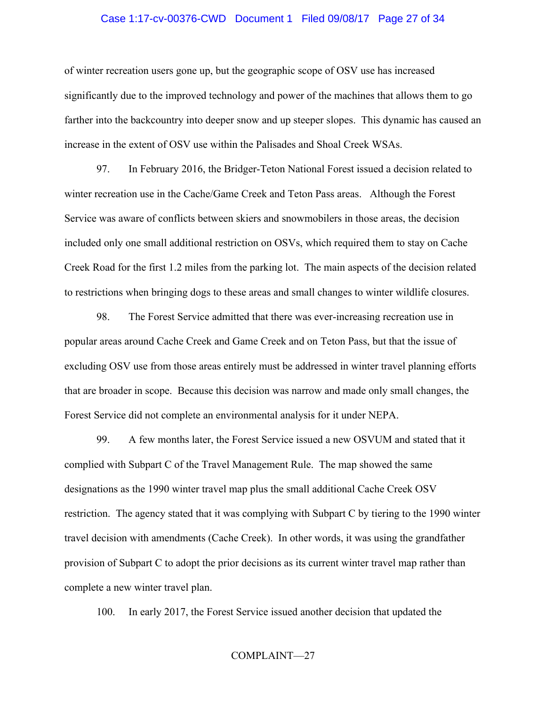#### Case 1:17-cv-00376-CWD Document 1 Filed 09/08/17 Page 27 of 34

of winter recreation users gone up, but the geographic scope of OSV use has increased significantly due to the improved technology and power of the machines that allows them to go farther into the backcountry into deeper snow and up steeper slopes. This dynamic has caused an increase in the extent of OSV use within the Palisades and Shoal Creek WSAs.

97. In February 2016, the Bridger-Teton National Forest issued a decision related to winter recreation use in the Cache/Game Creek and Teton Pass areas. Although the Forest Service was aware of conflicts between skiers and snowmobilers in those areas, the decision included only one small additional restriction on OSVs, which required them to stay on Cache Creek Road for the first 1.2 miles from the parking lot. The main aspects of the decision related to restrictions when bringing dogs to these areas and small changes to winter wildlife closures.

98. The Forest Service admitted that there was ever-increasing recreation use in popular areas around Cache Creek and Game Creek and on Teton Pass, but that the issue of excluding OSV use from those areas entirely must be addressed in winter travel planning efforts that are broader in scope. Because this decision was narrow and made only small changes, the Forest Service did not complete an environmental analysis for it under NEPA.

99. A few months later, the Forest Service issued a new OSVUM and stated that it complied with Subpart C of the Travel Management Rule. The map showed the same designations as the 1990 winter travel map plus the small additional Cache Creek OSV restriction. The agency stated that it was complying with Subpart C by tiering to the 1990 winter travel decision with amendments (Cache Creek). In other words, it was using the grandfather provision of Subpart C to adopt the prior decisions as its current winter travel map rather than complete a new winter travel plan.

100. In early 2017, the Forest Service issued another decision that updated the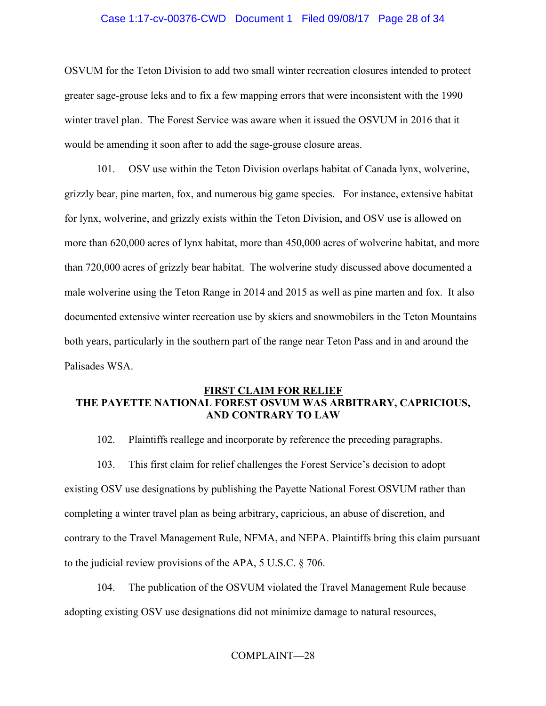## Case 1:17-cv-00376-CWD Document 1 Filed 09/08/17 Page 28 of 34

OSVUM for the Teton Division to add two small winter recreation closures intended to protect greater sage-grouse leks and to fix a few mapping errors that were inconsistent with the 1990 winter travel plan. The Forest Service was aware when it issued the OSVUM in 2016 that it would be amending it soon after to add the sage-grouse closure areas.

101. OSV use within the Teton Division overlaps habitat of Canada lynx, wolverine, grizzly bear, pine marten, fox, and numerous big game species. For instance, extensive habitat for lynx, wolverine, and grizzly exists within the Teton Division, and OSV use is allowed on more than 620,000 acres of lynx habitat, more than 450,000 acres of wolverine habitat, and more than 720,000 acres of grizzly bear habitat. The wolverine study discussed above documented a male wolverine using the Teton Range in 2014 and 2015 as well as pine marten and fox. It also documented extensive winter recreation use by skiers and snowmobilers in the Teton Mountains both years, particularly in the southern part of the range near Teton Pass and in and around the Palisades WSA.

# **FIRST CLAIM FOR RELIEF THE PAYETTE NATIONAL FOREST OSVUM WAS ARBITRARY, CAPRICIOUS, AND CONTRARY TO LAW**

102. Plaintiffs reallege and incorporate by reference the preceding paragraphs.

103. This first claim for relief challenges the Forest Service's decision to adopt existing OSV use designations by publishing the Payette National Forest OSVUM rather than completing a winter travel plan as being arbitrary, capricious, an abuse of discretion, and contrary to the Travel Management Rule, NFMA, and NEPA. Plaintiffs bring this claim pursuant to the judicial review provisions of the APA, 5 U.S.C. § 706.

104. The publication of the OSVUM violated the Travel Management Rule because adopting existing OSV use designations did not minimize damage to natural resources,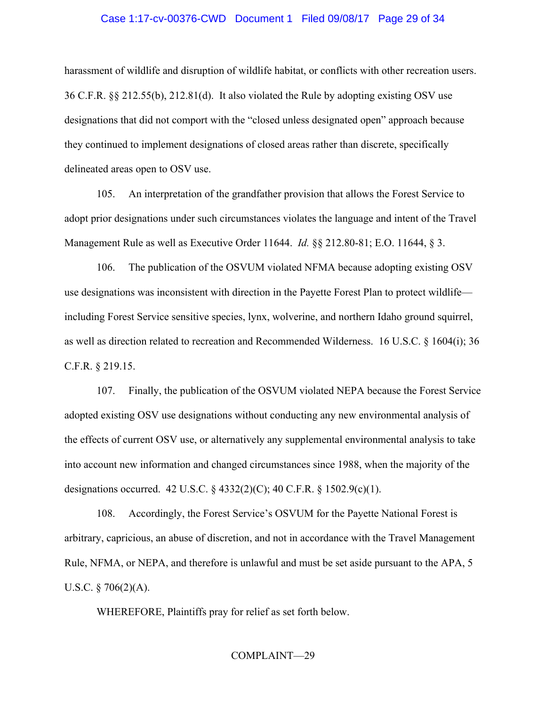#### Case 1:17-cv-00376-CWD Document 1 Filed 09/08/17 Page 29 of 34

harassment of wildlife and disruption of wildlife habitat, or conflicts with other recreation users. 36 C.F.R. §§ 212.55(b), 212.81(d). It also violated the Rule by adopting existing OSV use designations that did not comport with the "closed unless designated open" approach because they continued to implement designations of closed areas rather than discrete, specifically delineated areas open to OSV use.

105. An interpretation of the grandfather provision that allows the Forest Service to adopt prior designations under such circumstances violates the language and intent of the Travel Management Rule as well as Executive Order 11644. *Id.* §§ 212.80-81; E.O. 11644, § 3.

106. The publication of the OSVUM violated NFMA because adopting existing OSV use designations was inconsistent with direction in the Payette Forest Plan to protect wildlife including Forest Service sensitive species, lynx, wolverine, and northern Idaho ground squirrel, as well as direction related to recreation and Recommended Wilderness. 16 U.S.C. § 1604(i); 36 C.F.R. § 219.15.

107. Finally, the publication of the OSVUM violated NEPA because the Forest Service adopted existing OSV use designations without conducting any new environmental analysis of the effects of current OSV use, or alternatively any supplemental environmental analysis to take into account new information and changed circumstances since 1988, when the majority of the designations occurred. 42 U.S.C. § 4332(2)(C); 40 C.F.R. § 1502.9(c)(1).

108. Accordingly, the Forest Service's OSVUM for the Payette National Forest is arbitrary, capricious, an abuse of discretion, and not in accordance with the Travel Management Rule, NFMA, or NEPA, and therefore is unlawful and must be set aside pursuant to the APA, 5 U.S.C.  $\S$  706(2)(A).

WHEREFORE, Plaintiffs pray for relief as set forth below.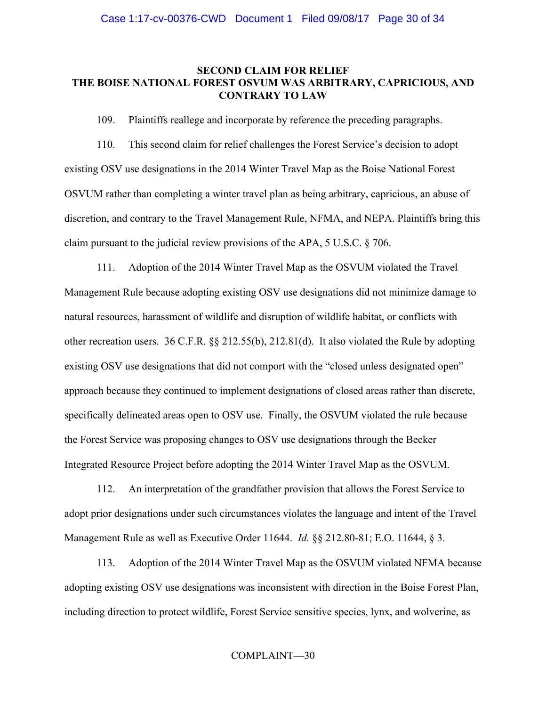## **SECOND CLAIM FOR RELIEF THE BOISE NATIONAL FOREST OSVUM WAS ARBITRARY, CAPRICIOUS, AND CONTRARY TO LAW**

109. Plaintiffs reallege and incorporate by reference the preceding paragraphs.

110. This second claim for relief challenges the Forest Service's decision to adopt existing OSV use designations in the 2014 Winter Travel Map as the Boise National Forest OSVUM rather than completing a winter travel plan as being arbitrary, capricious, an abuse of discretion, and contrary to the Travel Management Rule, NFMA, and NEPA. Plaintiffs bring this claim pursuant to the judicial review provisions of the APA, 5 U.S.C. § 706.

111. Adoption of the 2014 Winter Travel Map as the OSVUM violated the Travel Management Rule because adopting existing OSV use designations did not minimize damage to natural resources, harassment of wildlife and disruption of wildlife habitat, or conflicts with other recreation users. 36 C.F.R. §§ 212.55(b), 212.81(d). It also violated the Rule by adopting existing OSV use designations that did not comport with the "closed unless designated open" approach because they continued to implement designations of closed areas rather than discrete, specifically delineated areas open to OSV use. Finally, the OSVUM violated the rule because the Forest Service was proposing changes to OSV use designations through the Becker Integrated Resource Project before adopting the 2014 Winter Travel Map as the OSVUM.

112. An interpretation of the grandfather provision that allows the Forest Service to adopt prior designations under such circumstances violates the language and intent of the Travel Management Rule as well as Executive Order 11644. *Id.* §§ 212.80-81; E.O. 11644, § 3.

113. Adoption of the 2014 Winter Travel Map as the OSVUM violated NFMA because adopting existing OSV use designations was inconsistent with direction in the Boise Forest Plan, including direction to protect wildlife, Forest Service sensitive species, lynx, and wolverine, as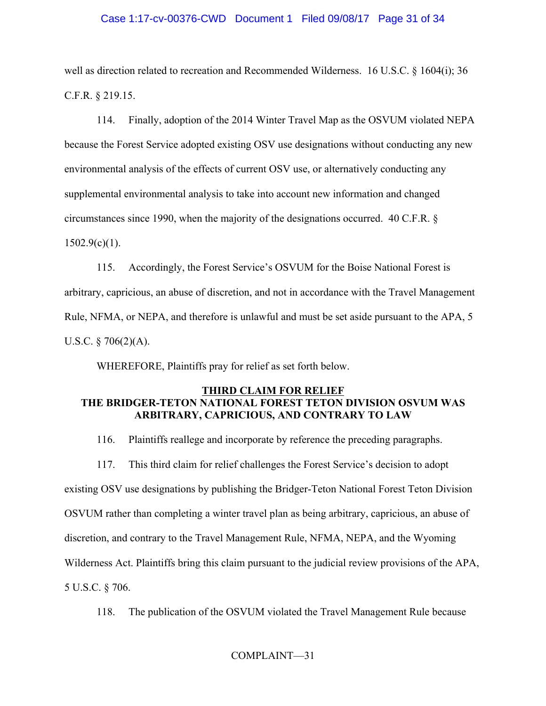# Case 1:17-cv-00376-CWD Document 1 Filed 09/08/17 Page 31 of 34

well as direction related to recreation and Recommended Wilderness. 16 U.S.C. § 1604(i); 36 C.F.R. § 219.15.

114. Finally, adoption of the 2014 Winter Travel Map as the OSVUM violated NEPA because the Forest Service adopted existing OSV use designations without conducting any new environmental analysis of the effects of current OSV use, or alternatively conducting any supplemental environmental analysis to take into account new information and changed circumstances since 1990, when the majority of the designations occurred. 40 C.F.R. §  $1502.9(c)(1)$ .

115. Accordingly, the Forest Service's OSVUM for the Boise National Forest is arbitrary, capricious, an abuse of discretion, and not in accordance with the Travel Management Rule, NFMA, or NEPA, and therefore is unlawful and must be set aside pursuant to the APA, 5 U.S.C.  $\S$  706(2)(A).

WHEREFORE, Plaintiffs pray for relief as set forth below.

# **THIRD CLAIM FOR RELIEF THE BRIDGER-TETON NATIONAL FOREST TETON DIVISION OSVUM WAS ARBITRARY, CAPRICIOUS, AND CONTRARY TO LAW**

116. Plaintiffs reallege and incorporate by reference the preceding paragraphs.

117. This third claim for relief challenges the Forest Service's decision to adopt

existing OSV use designations by publishing the Bridger-Teton National Forest Teton Division

OSVUM rather than completing a winter travel plan as being arbitrary, capricious, an abuse of

discretion, and contrary to the Travel Management Rule, NFMA, NEPA, and the Wyoming

Wilderness Act. Plaintiffs bring this claim pursuant to the judicial review provisions of the APA,

5 U.S.C. § 706.

118. The publication of the OSVUM violated the Travel Management Rule because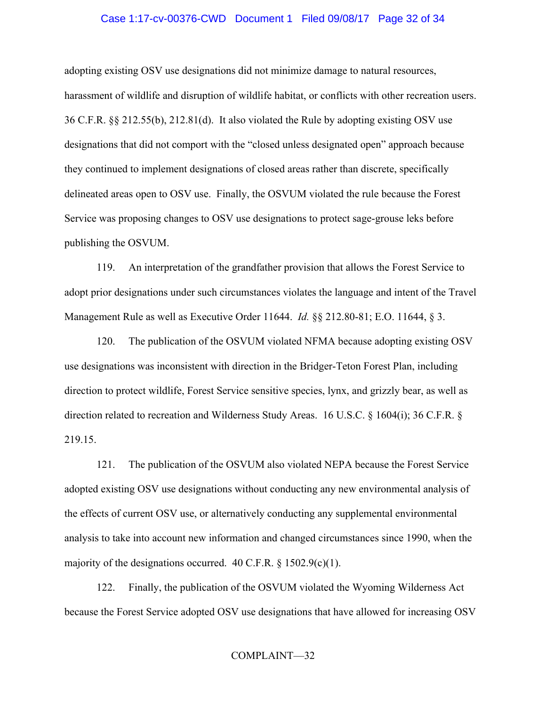#### Case 1:17-cv-00376-CWD Document 1 Filed 09/08/17 Page 32 of 34

adopting existing OSV use designations did not minimize damage to natural resources, harassment of wildlife and disruption of wildlife habitat, or conflicts with other recreation users. 36 C.F.R. §§ 212.55(b), 212.81(d). It also violated the Rule by adopting existing OSV use designations that did not comport with the "closed unless designated open" approach because they continued to implement designations of closed areas rather than discrete, specifically delineated areas open to OSV use. Finally, the OSVUM violated the rule because the Forest Service was proposing changes to OSV use designations to protect sage-grouse leks before publishing the OSVUM.

119. An interpretation of the grandfather provision that allows the Forest Service to adopt prior designations under such circumstances violates the language and intent of the Travel Management Rule as well as Executive Order 11644. *Id.* §§ 212.80-81; E.O. 11644, § 3.

120. The publication of the OSVUM violated NFMA because adopting existing OSV use designations was inconsistent with direction in the Bridger-Teton Forest Plan, including direction to protect wildlife, Forest Service sensitive species, lynx, and grizzly bear, as well as direction related to recreation and Wilderness Study Areas. 16 U.S.C. § 1604(i); 36 C.F.R. § 219.15.

121. The publication of the OSVUM also violated NEPA because the Forest Service adopted existing OSV use designations without conducting any new environmental analysis of the effects of current OSV use, or alternatively conducting any supplemental environmental analysis to take into account new information and changed circumstances since 1990, when the majority of the designations occurred. 40 C.F.R.  $\S 1502.9(c)(1)$ .

122. Finally, the publication of the OSVUM violated the Wyoming Wilderness Act because the Forest Service adopted OSV use designations that have allowed for increasing OSV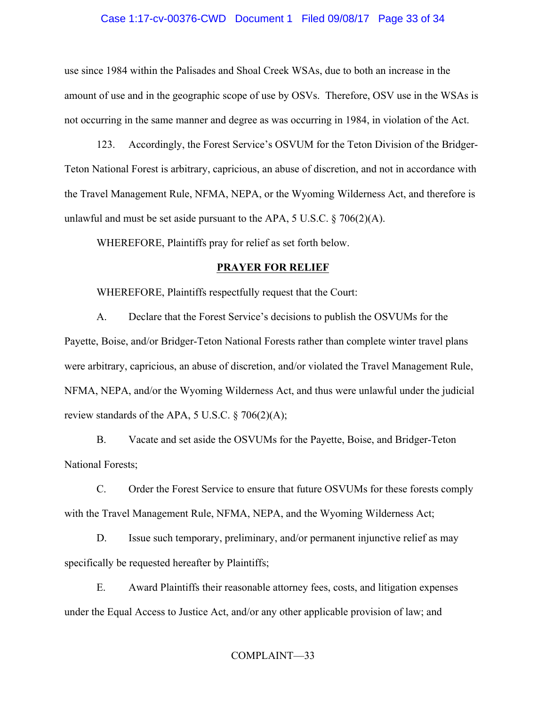# Case 1:17-cv-00376-CWD Document 1 Filed 09/08/17 Page 33 of 34

use since 1984 within the Palisades and Shoal Creek WSAs, due to both an increase in the amount of use and in the geographic scope of use by OSVs. Therefore, OSV use in the WSAs is not occurring in the same manner and degree as was occurring in 1984, in violation of the Act.

123. Accordingly, the Forest Service's OSVUM for the Teton Division of the Bridger-Teton National Forest is arbitrary, capricious, an abuse of discretion, and not in accordance with the Travel Management Rule, NFMA, NEPA, or the Wyoming Wilderness Act, and therefore is unlawful and must be set aside pursuant to the APA,  $5 \text{ U.S.C.} \$   $706(2)(\text{A})$ .

WHEREFORE, Plaintiffs pray for relief as set forth below.

## **PRAYER FOR RELIEF**

WHEREFORE, Plaintiffs respectfully request that the Court:

A. Declare that the Forest Service's decisions to publish the OSVUMs for the Payette, Boise, and/or Bridger-Teton National Forests rather than complete winter travel plans were arbitrary, capricious, an abuse of discretion, and/or violated the Travel Management Rule, NFMA, NEPA, and/or the Wyoming Wilderness Act, and thus were unlawful under the judicial review standards of the APA,  $5 \text{ U.S.C.}$  § 706(2)(A);

B. Vacate and set aside the OSVUMs for the Payette, Boise, and Bridger-Teton National Forests;

C. Order the Forest Service to ensure that future OSVUMs for these forests comply with the Travel Management Rule, NFMA, NEPA, and the Wyoming Wilderness Act;

D. Issue such temporary, preliminary, and/or permanent injunctive relief as may specifically be requested hereafter by Plaintiffs;

E. Award Plaintiffs their reasonable attorney fees, costs, and litigation expenses under the Equal Access to Justice Act, and/or any other applicable provision of law; and